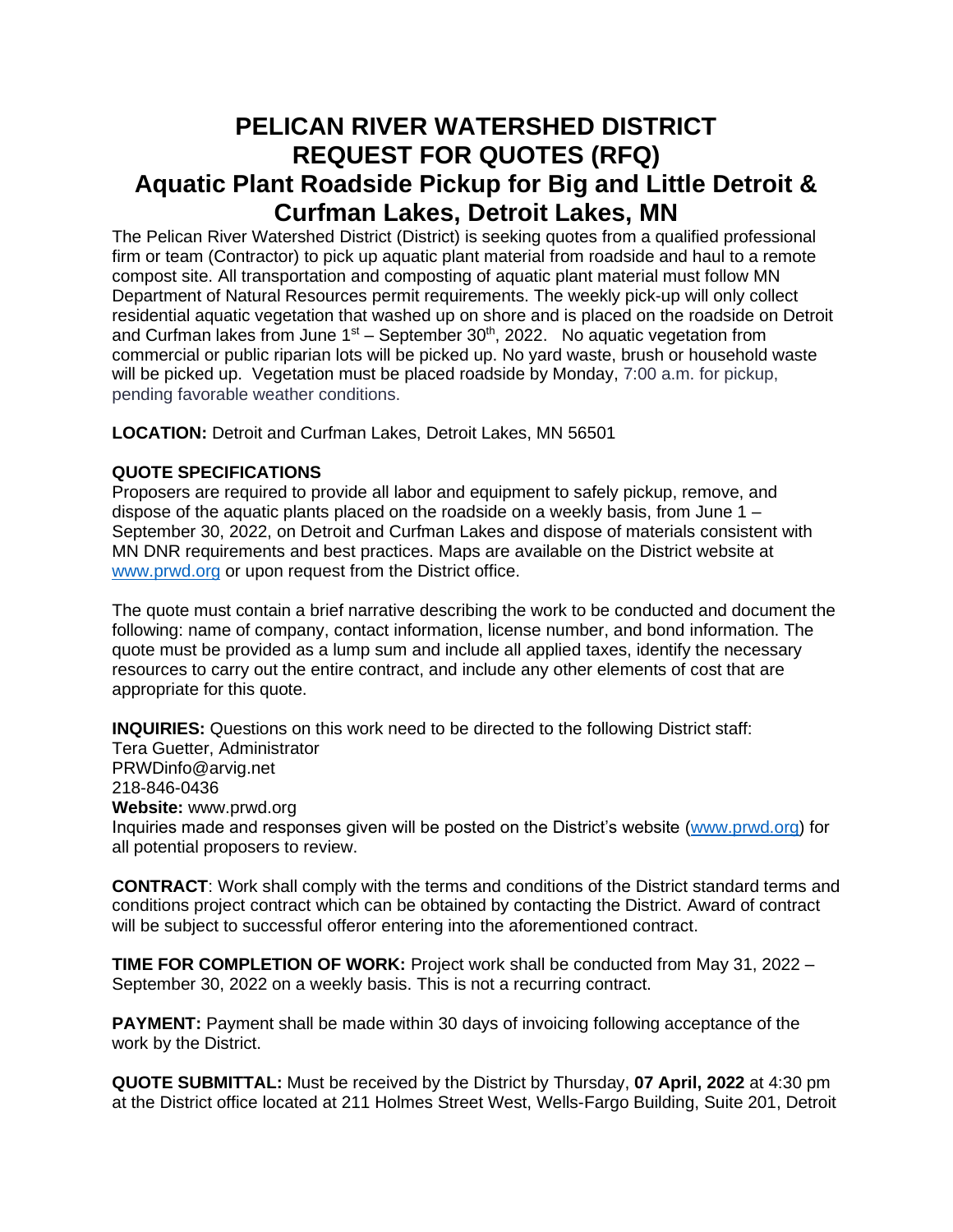## **PELICAN RIVER WATERSHED DISTRICT REQUEST FOR QUOTES (RFQ) Aquatic Plant Roadside Pickup for Big and Little Detroit & Curfman Lakes, Detroit Lakes, MN**

The Pelican River Watershed District (District) is seeking quotes from a qualified professional firm or team (Contractor) to pick up aquatic plant material from roadside and haul to a remote compost site. All transportation and composting of aquatic plant material must follow MN Department of Natural Resources permit requirements. The weekly pick-up will only collect residential aquatic vegetation that washed up on shore and is placed on the roadside on Detroit and Curfman lakes from June  $1<sup>st</sup>$  – September 30<sup>th</sup>, 2022. No aquatic vegetation from commercial or public riparian lots will be picked up. No yard waste, brush or household waste will be picked up. Vegetation must be placed roadside by Monday, 7:00 a.m. for pickup, pending favorable weather conditions.

**LOCATION:** Detroit and Curfman Lakes, Detroit Lakes, MN 56501

## **QUOTE SPECIFICATIONS**

Proposers are required to provide all labor and equipment to safely pickup, remove, and dispose of the aquatic plants placed on the roadside on a weekly basis, from June  $1 -$ September 30, 2022, on Detroit and Curfman Lakes and dispose of materials consistent with MN DNR requirements and best practices. Maps are available on the District website at [www.prwd.org](http://www.prwd.org/) or upon request from the District office.

The quote must contain a brief narrative describing the work to be conducted and document the following: name of company, contact information, license number, and bond information. The quote must be provided as a lump sum and include all applied taxes, identify the necessary resources to carry out the entire contract, and include any other elements of cost that are appropriate for this quote.

**INQUIRIES:** Questions on this work need to be directed to the following District staff: Tera Guetter, Administrator PRWDinfo@arvig.net 218-846-0436

**Website:** www.prwd.org

Inquiries made and responses given will be posted on the District's website [\(www.prwd.org\)](http://www.prwd.org/) for all potential proposers to review.

**CONTRACT**: Work shall comply with the terms and conditions of the District standard terms and conditions project contract which can be obtained by contacting the District. Award of contract will be subject to successful offeror entering into the aforementioned contract.

**TIME FOR COMPLETION OF WORK:** Project work shall be conducted from May 31, 2022 – September 30, 2022 on a weekly basis. This is not a recurring contract.

**PAYMENT:** Payment shall be made within 30 days of invoicing following acceptance of the work by the District.

**QUOTE SUBMITTAL:** Must be received by the District by Thursday, **07 April, 2022** at 4:30 pm at the District office located at 211 Holmes Street West, Wells-Fargo Building, Suite 201, Detroit